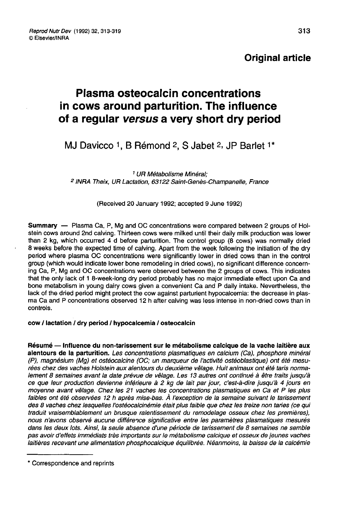# **Original article**

# Plasma osteocalcin concentrations in cows around parturition. The influence of a regular versus a very short dry period

MJ Davicco 1, B Rémond 2, S Jabet 2, JP Barlet 1\*

<sup>1</sup> UR Métabolisme Minéral; <sup>2</sup> INRA Theix, UR Lactation, 63122 Saint-Genès-Champanelle, France

(Received 20 January 1992; accepted 9 June 1992)

Summary ― Plasma Ca, P, Mg and OC concentrations were compared between 2 groups of Holstein cows around 2nd calving. Thirteen cows were milked until their daily milk production was lower than 2 kg, which occurred 4 d before parturition. The control group (8 cows) was normally dried 8 weeks before the expected time of calving. Apart from the week following the initiation of the dry period where plasma OC concentrations were significantly lower in dried cows than in the control group (which would indicate lower bone remodeling in dried cows), no significant difference concerning Ca, P, Mg and OC concentrations were observed between the 2 groups of cows. This indicates that the only lack of 1 8-week-long dry period probably has no major immediate effect upon Ca and bone metabolism in young dairy cows given a convenient Ca and P daily intake. Nevertheless, the lack of the dried period might protect the cow against parturient hypocalcemia: the decrease in plasma Ca and P concentrations observed 12 h after calving was less intense in non-dried cows than in controls.

#### cow / lactation / dry period / hypocalcemia / osteocalcin

Résumé ― Influence du non-tarissement sur le métabolisme calcique de la vache laitière aux alentours de la parturition. Les concentrations plasmatiques en calcium (Ca), phosphore minéral (P), magnésium (Mg) et ostéocalcine (OC; un marqueur de 1 activité ostéoblastique) ont été mesurées chez des vaches Holstein aux alentours du deuxième vêlage. Huit animaux ont été taris normalement 8 semaines avant la date prévue de vêlage. Les 13 autres ont continué à être traits jusqu'à ce que leur production devienne inférieure à 2 kg de lait par jour, c'est-à-dire jusqu'à 4 jours en moyenne avant vêlage. Chez les 21 vaches les concentrations plasmatiques en Ca et P les plus faibles ont été observées 12 h après mise-bas. À l'exception de la semaine suivant le tarissement des 8 vaches chez lesquelles l'ostéocalcinémie était plus faible que chez les treize non taries (ce qui traduit vraisemblablement un brusque ralentissement du remodelage osseux chez les premières), nous n'avons observé aucune différence significative entre les paramètres plasmatiques mesurés dans les deux lots. Ainsi, la seule absence d'une période de tarissement de 8 semaines ne semble pas avoir d'effets immédiats très importants sur le métabolisme calcique et osseux de jeunes vaches laitières recevant une alimentation phosphocalcique équilibrée. Néanmoins, la baisse de la calcémie

<sup>\*</sup> Correspondence and reprints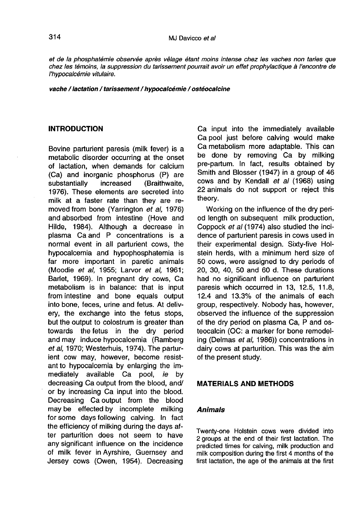et de la phosphatémie observée après vêlage étant moins intense chez les vaches non taries que chez les témoins, la suppression du tarissement pourrait avoir un effet prophylactique à l'encontre de l'hypocalcémie vitulaire.

vache / lactation / tarissement / hypocalcémie / ostéocalcine

#### INTRODUCTION

Bovine parturient paresis (milk fever) is a metabolic disorder occurring at the onset of lactation, when demands for calcium (Ca) and inorganic phosphorus (P) are<br>substantially increased (Braithwaite, substantially 1976). These elements are secreted into milk at a faster rate than they are removed from bone (Yarrington et al, 1976) and absorbed from intestine (Hove and Hilde, 1984). Although a decrease in plasma Caand P concentrations is a normal event in all parturient cows, the hypocalcemia and hypophosphatemia is far more important in paretic animals (Moodie et al, 1955; Larvor et al, 1961; Barlet, 1969). In pregnant dry cows, Ca metabolism is in balance: that is input from intestine and bone equals output into bone, feces, urine and fetus. At delivery, the exchange into the fetus stops, but the output to colostrum is greater than towards the fetus in the dry period and may induce hypocalcemia (Ramberg et al, 1970; Westerhuis, 1974). The parturient cow may, however, become resistant to hypocalcemia by enlarging the immediately available Ca pool, ie by decreasing Ca output from the blood, and/ or by increasing Ca input into the blood. Decreasing Ca output from the blood may be effected by incomplete milking for some days following calving. In fact the efficiency of milking during the days after parturition does not seem to have any significant influence on the incidence of milk fever in Ayrshire, Guernsey and Jersey cows (Owen, 1954). Decreasing

Ca input into the immediately available Ca pool just before calving would make Ca metabolism more adaptable. This can be done by removing Ca by milking pre-partum. In fact, results obtained by Smith and Blosser (1947) in a group of 46 cows and by Kendall et al (1968) using 22 animals do not support or reject this theory.

Working on the influence of the dry period length on subsequent milk production, Coppock et al (1974) also studied the incidence of parturient paresis in cows used in their experimental design. Sixty-five Holstein herds, with a minimum herd size of 50 cows, were assigned to dry periods of 20, 30, 40, 50 and 60 d. These durations had no significant influence on parturient paresis which occurred in 13, 12.5, 11.8, 12.4 and 13.3% of the animals of each group, respectively. Nobody has, however, observed the influence of the suppression of the dry period on plasma Ca, P and osteocalcin (OC: a marker for bone remodeling (Delmas et al, 1986)) concentrations in dairy cows at parturition. This was the aim of the present study.

## MATERIALS AND METHODS

#### Animals

Twenty-one Holstein cows were divided into 2 groups at the end of their first lactation. The predicted times for calving, milk production and milk composition during the first 4 months of the first lactation, the age of the animals at the first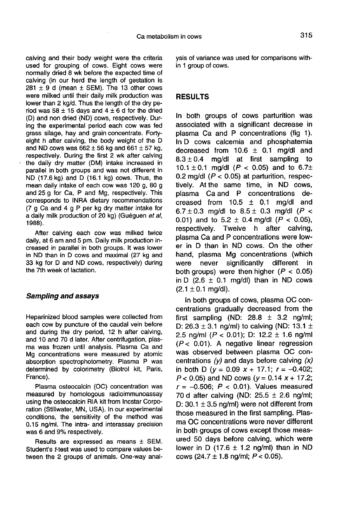calving and their body weight were the criteria used for grouping of cows. Eight cows were normally dried 8 wk before the expected time of calving (in our herd the length of gestation is 281  $\pm$  9 d (mean  $\pm$  SEM). The 13 other cows were milked until their daily milk production was lower than 2 kg/d. Thus the length of the dry period was 58  $\pm$  15 days and 4  $\pm$  6 d for the dried (D) and non dried (ND) cows, respectively. During the experimental period each cow was fed grass silage, hay and grain concentrate. Fortyeight h after calving, the body weight of the D and ND cows was  $662 \pm 56$  kg and  $661 \pm 57$  kg, respectively. During the first 2 wk after calving the daily dry matter (DM) intake increased in parallel in both groups and was not different in ND (17.6 kg) and D (16.1 kg) cows. Thus, the mean daily intake of each cow was 120 g, 80 g and 25 g for Ca, P and Mg, respectively. This corresponds to INRA dietary recommendations (7 g Ca and 4 g P per kg dry matter intake for a daily milk production of 20 kg) (Guéguen et al, 1988).

After calving each cow was milked twice daily, at 6 am and 5 pm. Daily milk production increased in parallel in both groups. It was lower in ND than in D cows and maximal (27 kg and 33 kg for D and ND cows, respectively) during the 7th week of lactation.

#### Sampling and assays

Heparinized blood samples were collected from each cow by puncture of the caudal vein before and during the dry period, 12 h after calving, and 10 and 70 d later. After centrifugation, plasma was frozen until analysis. Plasma Ca and Mg concentrations were measured by atomic absorption spectrophotometry. Plasma P was determined by colorimetry (Biotrol kit, Paris, France).

Plasma osteocalcin (OC) concentration was measured by homologous radioimmunoassay using the osteocalcin RIA kit from Incstar Corporation (Stillwater, MN, USA). In our experimental conditions, the sensitivity of the method was 0.15 ng/ml. The intra- and interassay precision was 6 and 9% respectively.

Results are expressed as means ± SEM. Student's *t*-test was used to compare values between the 2 groups of animals. One-way analysis of variance was used for comparisons within 1 group of cows.

# RESULTS

In both groups of cows parturition was associated with a significant decrease in plasma Ca and P concentrations (fig 1). In D cows calcemia and phosphatemia decreased from  $10.6 \pm 0.1$  mg/dl and  $8.3 \pm 0.4$  mg/dl at first sampling to 10.1  $\pm$  0.1 mg/dl (P < 0.05) and to 6.7 $\pm$ 0.2 mg/dl  $(P < 0.05)$  at parturition, respectively. At the same time, in ND cows, plasma Ca and P concentrations decreased from  $10.5 \pm 0.1$  mg/dl and 6.7 ± 0.3 mg/dl to  $8.5 \pm 0.3$  mg/dl (P < 0.01) and to 5.2  $\pm$  0.4 mg/dl (P < 0.05), respectively. Twelve h after calving, plasma Ca and P concentrations were lower in D than in ND cows. On the other hand, plasma Mg concentrations (which were never significantly different in both groups) were then higher  $(P < 0.05)$ in D (2.6  $\pm$  0.1 mg/dl) than in ND cows  $(2.1 \pm 0.1 \text{ mg/dl}).$ 

In both groups of cows, plasma OC concentrations gradually decreased from the first sampling (ND: 28.8  $\pm$  3.2 ng/ml; D:  $26.3 \pm 3.1$  ng/ml) to calving (ND: 13.1  $\pm$ 2.5 ng/ml  $(P < 0.01)$ ; D: 12.2  $\pm$  1.6 ng/ml  $(P < 0.01)$ . A negative linear regression was observed between plasma OC concentrations  $(y)$  and days before calving  $(x)$ in both D ( $y = 0.09 x + 17.1$ ;  $r = -0.402$ ;  $P < 0.05$ ) and ND cows ( $y = 0.14 x + 17.2$ ;  $r = -0.506$ ;  $P < 0.01$ ). Values measured 70 d after calving (ND:  $25.5 \pm 2.6$  ng/ml; D:  $30.1 \pm 3.5$  ng/ml) were not different from those measured in the first sampling. Plasma OC concentrations were never different in both groups of cows except those measured 50 days before calving, which were lower in D (17.6  $\pm$  1.2 ng/ml) than in ND cows (24.7  $\pm$  1.8 ng/ml;  $P < 0.05$ ).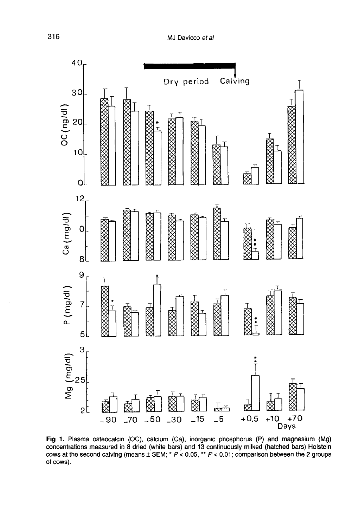

Fig 1. Plasma osteocalcin (OC), calcium (Ca), inorganic phosphorus (P) and magnesium (Mg) concentrations measured in 8 dried (white bars) and 13 continuously milked (hatched bars) Holstein cows at the second calving (means  $\pm$  SEM; \* P < 0.05, \*\* P < 0.01; comparison between the 2 groups of cows).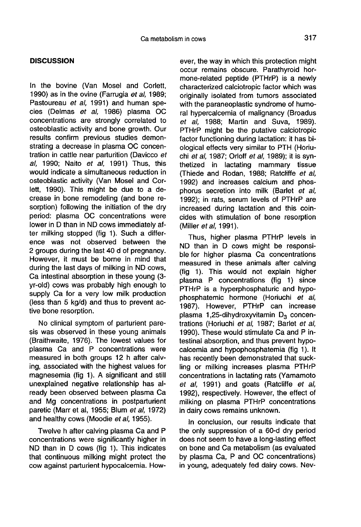# **DISCUSSION**

In the bovine (Van Mosel and Corlett, 1990) as in the ovine (Farrugia et al. 1989: Pastoureau et al, 1991) and human species (Delmas et al, 1986) plasma OC concentrations are strongly correlated to osteoblastic activity and bone growth. Our results confirm previous studies demonstrating a decrease in plasma OC concentration in cattle near parturition (Davicco et al, 1990; Naito et al, 1991) Thus, this would indicate a simultaneous reduction in osteoblastic activity (Van Mosel and Corlett, 1990). This might be due to a decrease in bone remodeling (and bone resorption) following the initiation of the dry period: plasma OC concentrations were lower in D than in ND cows immediately after milking stopped (fig 1). Such a difference was not observed between the 2 groups during the last 40 d of pregnancy. However, it must be borne in mind that during the last days of milking in ND cows, Ca intestinal absorption in these young (3 yr-old) cows was probably high enough to supply Ca for a very low milk production (less than 5 kg/d) and thus to prevent active bone resorption.

No clinical symptom of parturient paresis was observed in these young animals (Braithwaite, 1976). The lowest values for plasma Ca and P concentrations were measured in both groups 12 h after calving, associated with the highest values for magnesemia (fig 1). A significant and still unexplained negative relationship has already been observed between plasma Ca and Mg concentrations in postparturient paretic (Marr et al, 1955; Blum et al, 1972) and healthy cows (Moodie et al, 1955).

Twelve h after calving plasma Ca and P concentrations were significantly higher in ND than in D cows (fig 1). This indicates that continuous milking might protect the cow against parturient hypocalcemia. However, the way in which this protection might occur remains obscure. Parathyroid hormone-related peptide (PTHrP) is a newly characterized calciotropic factor which was originally isolated from tumors associated with the paraneoplastic syndrome of humoral hypercalcemia of malignancy (Broadus et al, 1988; Martin and Suva, 1989). PTHrP might be the putative calciotropic factor functioning during lactation: it has biological effects very similar to PTH (Horiuchi et al, 1987; Orloff et al, 1989); it is synthetized in lactating mammary tissue (Thiede and Rodan, 1988; Ratcliffe et al, 1992) and increases calcium and phosphorus secretion into milk (Barlet et al, 1992); in rats, serum levels of PTHrP are increased during lactation and this coincides with stimulation of bone resorption (Miller *et al*, 1991).

Thus, higher plasma PTHrP levels in ND than in D cows might be responsible for higher plasma Ca concentrations measured in these animals after calving (fig 1). This would not explain higher plasma P concentrations (fig 1) since PTHrP is a hyperphosphaturic and hypophosphatemic hormone (Horiuchi et al, 1987). However, PTHrP can increase plasma 1,25-dihydroxyvitamin  $D_3$  concentrations (Horiuchi et al, 1987; Barlet et al, 1990). These would stimulate Ca and P intestinal absorption, and thus prevent hypocalcemia and hypophosphatemia (fig 1). It has recently been demonstrated that suckling or milking increases plasma PTHrP concentrations in lactating rats (Yamamoto et al, 1991) and goats (Ratcliffe et al, 1992), respectively. However, the effect of milking on plasma PTHrP concentrations in dairy cows remains unknown.

In conclusion, our results indicate that the only suppression of a 60-d dry period does not seem to have a long-lasting effect on bone and Ca metabolism (as evaluated by plasma Ca, P and OC concentrations) in young, adequately fed dairy cows. Nev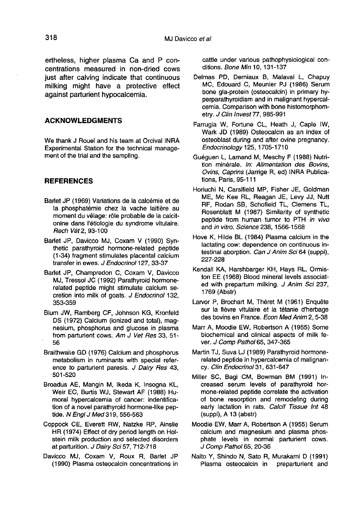ertheless, higher plasma Ca and P concentrations measured in non-dried cows just after calving indicate that continuous milking might have a protective effect against parturient hypocalcemia.

#### ACKNOWLEDGMENTS

We thank J Rouel and his team at Orcival INRA Experimental Station for the technical manage ment of the trial and the sampling.

#### **REFERENCES**

- Barlet JP (1969) Variations de la calcémie et de la phosphatémie chez la vache laitière au moment du vêlage: rôle probable de la calcitonine dans I'dtiologie du syndrome vitulaire. Rech Vét2, 93-100
- Barlet JP, Davicco MJ, Coxam V (1990) Synthetic parathyroid hormone-related peptide (1-34) fragment stimulates placental calcium transfer in ewes. J Endocrinol 127, 33-37
- Barlet JP, Champredon C, Coxam V, Davicco MJ, Tressol JC (1992) Parathyroid hormonerelated peptide might stimulate calcium secretion into milk of goats. J Endocrinol 132, 353-359
- Blum JW, Ramberg CF, Johnson KG, Kronfeld DS (1972) Calcium (ionized and total), magnesium, phosphorus and glucose in plasma from parturient cows. Am J Vet Res 33, 51-56
- Braithwaite GD (1976) Calcium and phosphorus metabolism in ruminants with special reference to parturient paresis. J Dairy Res 43, 501-520
- Broadus AE, Mangin M, Ikeda K, Insogna KL, Weir EC, Burtis WJ, Stewart AF (1988) Humoral hypercalcemia of cancer: indentification of a novel parathyroid hormone-like peptide. N Engl J Med 319, 556-563
- Coppock CE, Everett RW, Natzke RP, Ainslie HR (1974) Effect of dry period length on Holstein milk production and selected disorders at parturition. J Dairy Sci 57, 712-718
- Davicco MJ, Coxam V, Roux R, Barlet JP (1990) Plasma osteocalcin concentrations in

cattle under various pathophysiological conditions. Bone Min 10, 131-137

- Delmas PD, Demiaux B, Malaval L, Chapuy MC, Edouard C, Meunier PJ (1986) Serum bone gla-protein (osteocalcin) in primary hyperparathyroidism and in malignant hypercalcemia. Comparison with bone histomorphometry. J Clin Invest 77, 985-991
- Farrugia W, Fortune CL, Heath J, Caple IW, Wark JD (1989) Osteocalcin as an index of osteoblast during and after ovine pregnancy. Endocrinology 125, 1705-1710
- Gu6guen L, Lamand M, Meschy F (1988) Nutrition minérale. In: Alimentation des Bovins, Ovins, Caprins (Jarrige R, ed) INRA Publications, Paris, 95-111 1
- Horiuchi N, Carslfield MP, Fisher JE, Goldman ME, Mc Kee RL, Reagan JE, Levy JJ, Nutt RF, Rodan SB, Schofield TL, Clemens TL, Rosenblatt M (1987) Similarity of synthetic peptide from human tumor to PTH in vivo and in vitro. Science 238, 1566-1568
- Hove K, Hilde BL (1984) Plasma calcium in the lactating cow: dependence on continuous intestinal aborption. Can J Anim Sci 64 (suppl), 227-228
- Kendall KA, Harshbarger KH, Hays RL, Ormiston EE (1968) Blood mineral levels associated with prepartum milking. J Anim Sci 237, 1769 (Abstr)
- Larvor P, Brochart M, Théret M (1961) Enquête sur la fièvre vitulaire et la tétanie d'herbage des bovins en France. Econ Med Anim 2, 5-38
- Marr A, Moodie EW, Robertson A (1955) Some biochemical and clinical aspects of milk fever. J Comp Pathol 65, 347-365
- Martin TJ, Suva LJ (1989) Parathyroid hormonerelated peptide in hypercalcemia of malignancy. Clin Endocrinol 31, 631-647
- Miller SC, Bagi CM, Bowman BM (1991) Increased serum levels of parathyroid hormone-related peptide correlate the activation of bone resorption and remodeling during early lactation in rats. Calcif Tissue Int 48 (suppl), A 13 (abstr)
- Moodie EW, Marr A, Robertson A (1955) Serum calcium and magnesium and plasma phosphate levels in normal parturient cows. J Comp Pathol 65, 20-36
- Naito Y, Shindo N, Sato R, Murakami D (1991j Plasma osteocalcin in